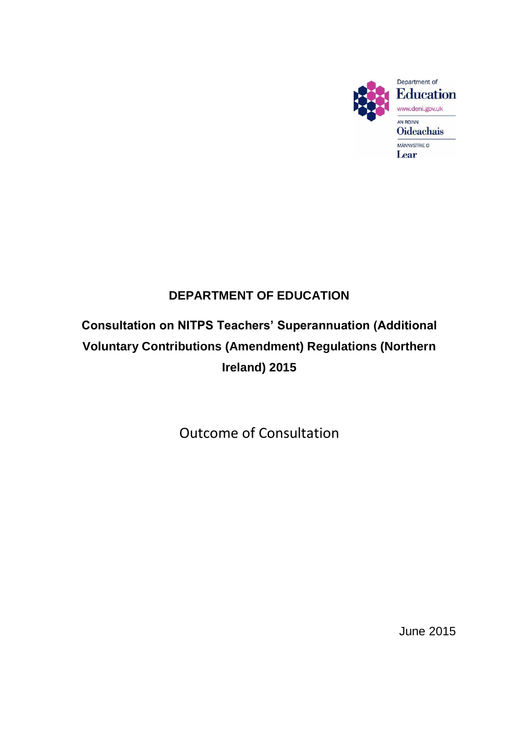

### **DEPARTMENT OF EDUCATION**

## **Consultation on NITPS Teachers' Superannuation (Additional Voluntary Contributions (Amendment) Regulations (Northern Ireland) 2015**

Outcome of Consultation

June 2015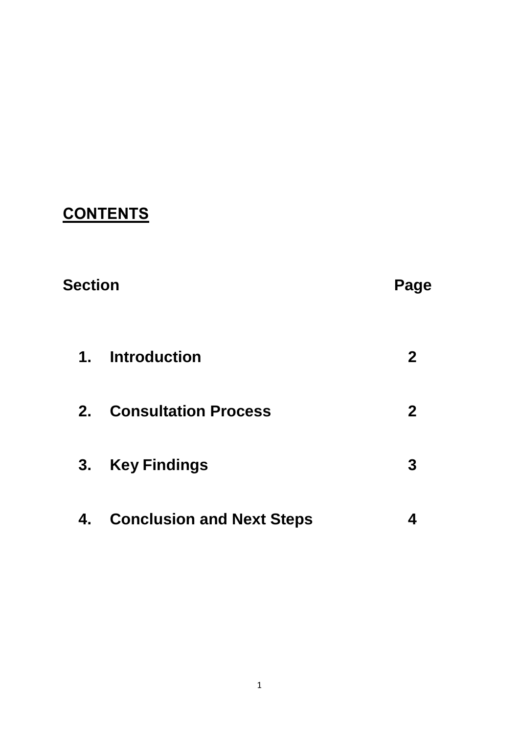# **CONTENTS**

| <b>Section</b> |                                  | Page        |
|----------------|----------------------------------|-------------|
|                | 1. Introduction                  | $\mathbf 2$ |
| $2_{-}$        | <b>Consultation Process</b>      | $\mathbf 2$ |
| 3.             | <b>Key Findings</b>              | 3           |
| 4.             | <b>Conclusion and Next Steps</b> |             |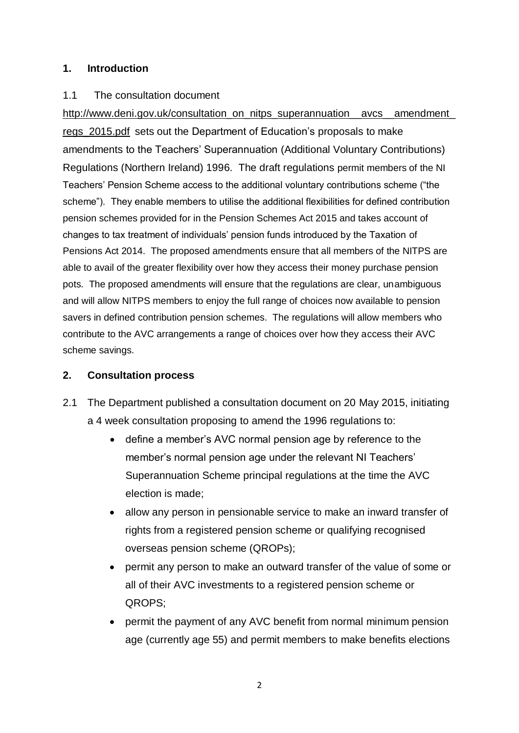#### **1. Introduction**

#### 1.1 The consultation document

http://www.deni.gov.uk/consultation\_on\_nitps\_superannuation\_\_avcs\_\_amendment [regs\\_2015.pdf](http://www.deni.gov.uk/consultation_on_nitps_superannuation__avcs__amendment_regs_2015.pdf) sets out the Department of Education's proposals to make amendments to the Teachers' Superannuation (Additional Voluntary Contributions) Regulations (Northern Ireland) 1996. The draft regulations permit members of the NI Teachers' Pension Scheme access to the additional voluntary contributions scheme ("the scheme"). They enable members to utilise the additional flexibilities for defined contribution pension schemes provided for in the Pension Schemes Act 2015 and takes account of changes to tax treatment of individuals' pension funds introduced by the Taxation of Pensions Act 2014. The proposed amendments ensure that all members of the NITPS are able to avail of the greater flexibility over how they access their money purchase pension pots. The proposed amendments will ensure that the regulations are clear, unambiguous and will allow NITPS members to enjoy the full range of choices now available to pension savers in defined contribution pension schemes. The regulations will allow members who contribute to the AVC arrangements a range of choices over how they access their AVC scheme savings.

#### **2. Consultation process**

- 2.1 The Department published a consultation document on 20 May 2015, initiating a 4 week consultation proposing to amend the 1996 regulations to:
	- define a member's AVC normal pension age by reference to the member's normal pension age under the relevant NI Teachers' Superannuation Scheme principal regulations at the time the AVC election is made;
	- allow any person in pensionable service to make an inward transfer of rights from a registered pension scheme or qualifying recognised overseas pension scheme (QROPs);
	- permit any person to make an outward transfer of the value of some or all of their AVC investments to a registered pension scheme or QROPS;
	- permit the payment of any AVC benefit from normal minimum pension age (currently age 55) and permit members to make benefits elections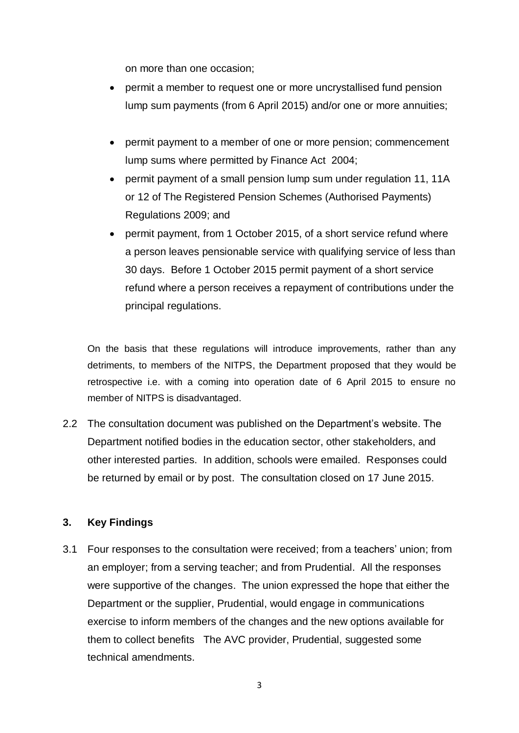on more than one occasion;

- permit a member to request one or more uncrystallised fund pension lump sum payments (from 6 April 2015) and/or one or more annuities;
- permit payment to a member of one or more pension; commencement lump sums where permitted by Finance Act 2004;
- permit payment of a small pension lump sum under regulation 11, 11A or 12 of The Registered Pension Schemes (Authorised Payments) Regulations 2009; and
- permit payment, from 1 October 2015, of a short service refund where a person leaves pensionable service with qualifying service of less than 30 days. Before 1 October 2015 permit payment of a short service refund where a person receives a repayment of contributions under the principal regulations.

On the basis that these regulations will introduce improvements, rather than any detriments, to members of the NITPS, the Department proposed that they would be retrospective i.e. with a coming into operation date of 6 April 2015 to ensure no member of NITPS is disadvantaged.

2.2 The consultation document was published on the Department's website. The Department notified bodies in the education sector, other stakeholders, and other interested parties. In addition, schools were emailed. Responses could be returned by email or by post. The consultation closed on 17 June 2015.

#### **3. Key Findings**

3.1 Four responses to the consultation were received; from a teachers' union; from an employer; from a serving teacher; and from Prudential. All the responses were supportive of the changes. The union expressed the hope that either the Department or the supplier, Prudential, would engage in communications exercise to inform members of the changes and the new options available for them to collect benefits The AVC provider, Prudential, suggested some technical amendments.

3